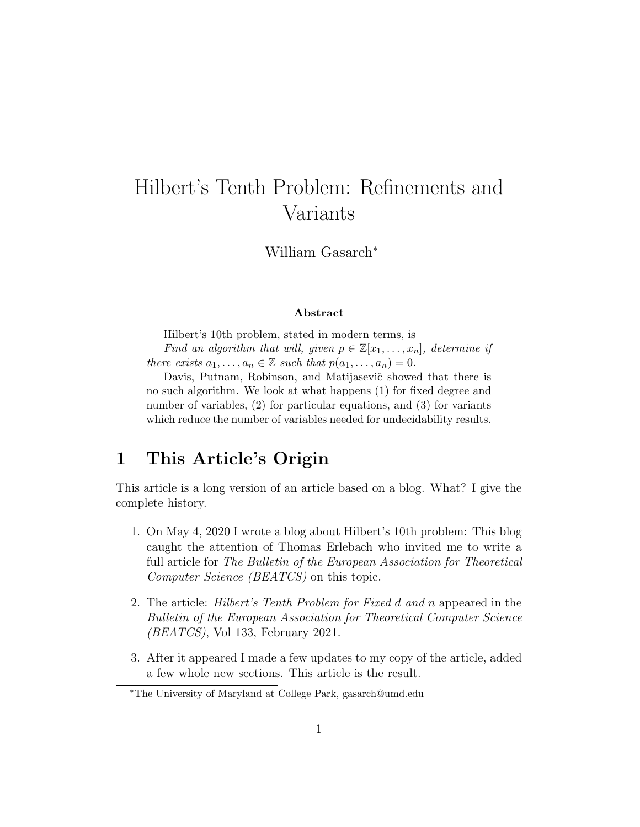# Hilbert's Tenth Problem: Refinements and Variants

William Gasarch<sup>∗</sup>

#### Abstract

Hilbert's 10th problem, stated in modern terms, is Find an algorithm that will, given  $p \in \mathbb{Z}[x_1,\ldots,x_n]$ , determine if there exists  $a_1, \ldots, a_n \in \mathbb{Z}$  such that  $p(a_1, \ldots, a_n) = 0$ .

Davis, Putnam, Robinson, and Matijasevič showed that there is no such algorithm. We look at what happens (1) for fixed degree and number of variables, (2) for particular equations, and (3) for variants which reduce the number of variables needed for undecidability results.

# 1 This Article's Origin

This article is a long version of an article based on a blog. What? I give the complete history.

- 1. On May 4, 2020 I wrote a blog about Hilbert's 10th problem: This blog caught the attention of Thomas Erlebach who invited me to write a full article for The Bulletin of the European Association for Theoretical Computer Science (BEATCS) on this topic.
- 2. The article: Hilbert's Tenth Problem for Fixed d and n appeared in the Bulletin of the European Association for Theoretical Computer Science  $(BEATCS)$ , Vol 133, February 2021.
- 3. After it appeared I made a few updates to my copy of the article, added a few whole new sections. This article is the result.

<sup>∗</sup>The University of Maryland at College Park, gasarch@umd.edu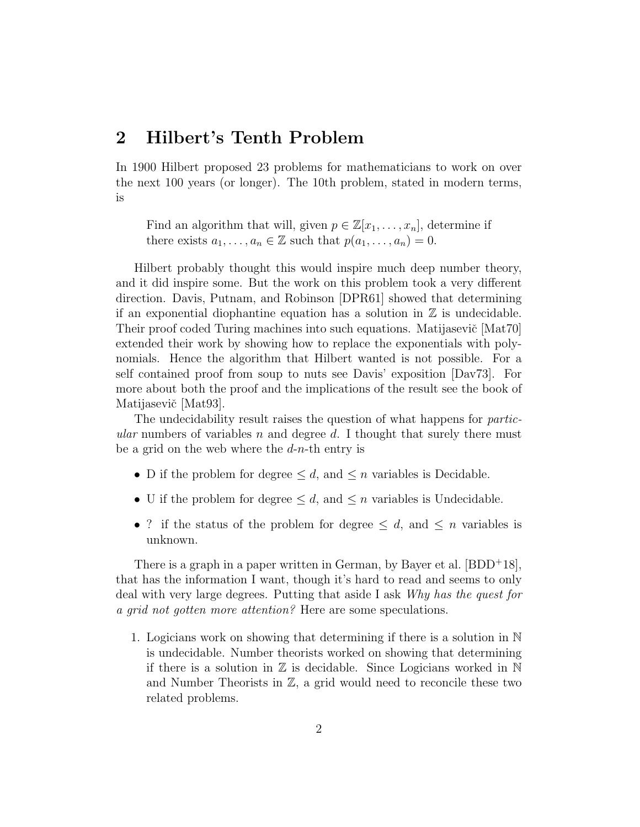### 2 Hilbert's Tenth Problem

In 1900 Hilbert proposed 23 problems for mathematicians to work on over the next 100 years (or longer). The 10th problem, stated in modern terms, is

Find an algorithm that will, given  $p \in \mathbb{Z}[x_1, \ldots, x_n]$ , determine if there exists  $a_1, \ldots, a_n \in \mathbb{Z}$  such that  $p(a_1, \ldots, a_n) = 0$ .

Hilbert probably thought this would inspire much deep number theory, and it did inspire some. But the work on this problem took a very different direction. Davis, Putnam, and Robinson [DPR61] showed that determining if an exponential diophantine equation has a solution in  $\mathbb Z$  is undecidable. Their proof coded Turing machines into such equations. Matijasevič [Mat70] extended their work by showing how to replace the exponentials with polynomials. Hence the algorithm that Hilbert wanted is not possible. For a self contained proof from soup to nuts see Davis' exposition [Dav73]. For more about both the proof and the implications of the result see the book of Matijasevič [Mat93].

The undecidability result raises the question of what happens for *partic*ular numbers of variables n and degree d. I thought that surely there must be a grid on the web where the  $d-n$ -th entry is

- D if the problem for degree  $\leq d$ , and  $\leq n$  variables is Decidable.
- U if the problem for degree  $\leq d$ , and  $\leq n$  variables is Undecidable.
- ? if the status of the problem for degree  $\leq d$ , and  $\leq n$  variables is unknown.

There is a graph in a paper written in German, by Bayer et al.  $[BDD+18]$ , that has the information I want, though it's hard to read and seems to only deal with very large degrees. Putting that aside I ask Why has the quest for a grid not gotten more attention? Here are some speculations.

1. Logicians work on showing that determining if there is a solution in N is undecidable. Number theorists worked on showing that determining if there is a solution in  $\mathbb Z$  is decidable. Since Logicians worked in  $\mathbb N$ and Number Theorists in  $\mathbb{Z}$ , a grid would need to reconcile these two related problems.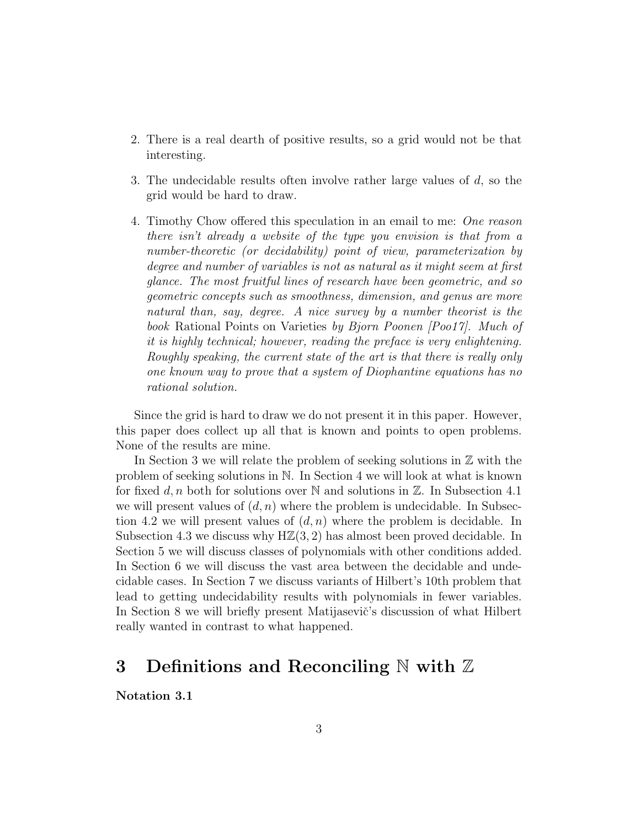- 2. There is a real dearth of positive results, so a grid would not be that interesting.
- 3. The undecidable results often involve rather large values of d, so the grid would be hard to draw.
- 4. Timothy Chow offered this speculation in an email to me: One reason there isn't already a website of the type you envision is that from a number-theoretic (or decidability) point of view, parameterization by degree and number of variables is not as natural as it might seem at first glance. The most fruitful lines of research have been geometric, and so geometric concepts such as smoothness, dimension, and genus are more natural than, say, degree. A nice survey by a number theorist is the book Rational Points on Varieties by Bjorn Poonen [Poo17]. Much of it is highly technical; however, reading the preface is very enlightening. Roughly speaking, the current state of the art is that there is really only one known way to prove that a system of Diophantine equations has no rational solution.

Since the grid is hard to draw we do not present it in this paper. However, this paper does collect up all that is known and points to open problems. None of the results are mine.

In Section 3 we will relate the problem of seeking solutions in  $\mathbb Z$  with the problem of seeking solutions in N. In Section 4 we will look at what is known for fixed d, n both for solutions over N and solutions in  $\mathbb{Z}$ . In Subsection 4.1 we will present values of  $(d, n)$  where the problem is undecidable. In Subsection 4.2 we will present values of  $(d, n)$  where the problem is decidable. In Subsection 4.3 we discuss why  $H\mathbb{Z}(3, 2)$  has almost been proved decidable. In Section 5 we will discuss classes of polynomials with other conditions added. In Section 6 we will discuss the vast area between the decidable and undecidable cases. In Section 7 we discuss variants of Hilbert's 10th problem that lead to getting undecidability results with polynomials in fewer variables. In Section 8 we will briefly present Matijasevič's discussion of what Hilbert really wanted in contrast to what happened.

# 3 Definitions and Reconciling  $\mathbb N$  with  $\mathbb Z$

Notation 3.1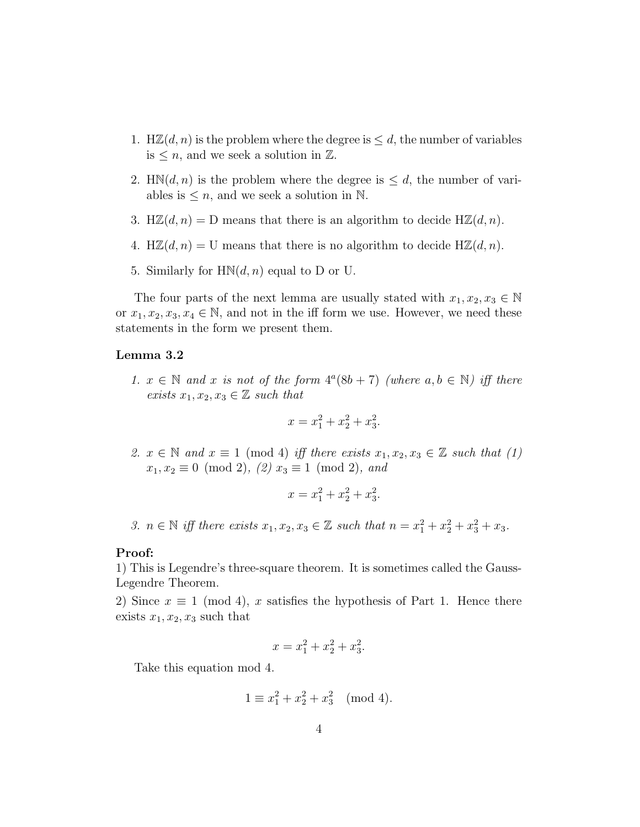- 1. H $\mathbb{Z}(d,n)$  is the problem where the degree is  $\leq d$ , the number of variables is  $\leq n$ , and we seek a solution in  $\mathbb{Z}$ .
- 2. HN $(d, n)$  is the problem where the degree is  $\leq d$ , the number of variables is  $\leq n$ , and we seek a solution in N.
- 3. H $\mathbb{Z}(d,n) = D$  means that there is an algorithm to decide H $\mathbb{Z}(d,n)$ .
- 4. H $\mathbb{Z}(d,n) = U$  means that there is no algorithm to decide H $\mathbb{Z}(d,n)$ .
- 5. Similarly for  $HM(d, n)$  equal to D or U.

The four parts of the next lemma are usually stated with  $x_1, x_2, x_3 \in \mathbb{N}$ or  $x_1, x_2, x_3, x_4 \in \mathbb{N}$ , and not in the iff form we use. However, we need these statements in the form we present them.

#### Lemma 3.2

1.  $x \in \mathbb{N}$  and x is not of the form  $4^a(8b+7)$  (where  $a, b \in \mathbb{N}$ ) iff there exists  $x_1, x_2, x_3 \in \mathbb{Z}$  such that

$$
x = x_1^2 + x_2^2 + x_3^2.
$$

2.  $x \in \mathbb{N}$  and  $x \equiv 1 \pmod{4}$  iff there exists  $x_1, x_2, x_3 \in \mathbb{Z}$  such that (1)  $x_1, x_2 \equiv 0 \pmod{2}$ ,  $(2) x_3 \equiv 1 \pmod{2}$ , and

$$
x = x_1^2 + x_2^2 + x_3^2.
$$

3.  $n \in \mathbb{N}$  iff there exists  $x_1, x_2, x_3 \in \mathbb{Z}$  such that  $n = x_1^2 + x_2^2 + x_3^2 + x_3$ .

#### Proof:

1) This is Legendre's three-square theorem. It is sometimes called the Gauss-Legendre Theorem.

2) Since  $x \equiv 1 \pmod{4}$ , x satisfies the hypothesis of Part 1. Hence there exists  $x_1, x_2, x_3$  such that

$$
x = x_1^2 + x_2^2 + x_3^2.
$$

Take this equation mod 4.

$$
1 \equiv x_1^2 + x_2^2 + x_3^2 \pmod{4}.
$$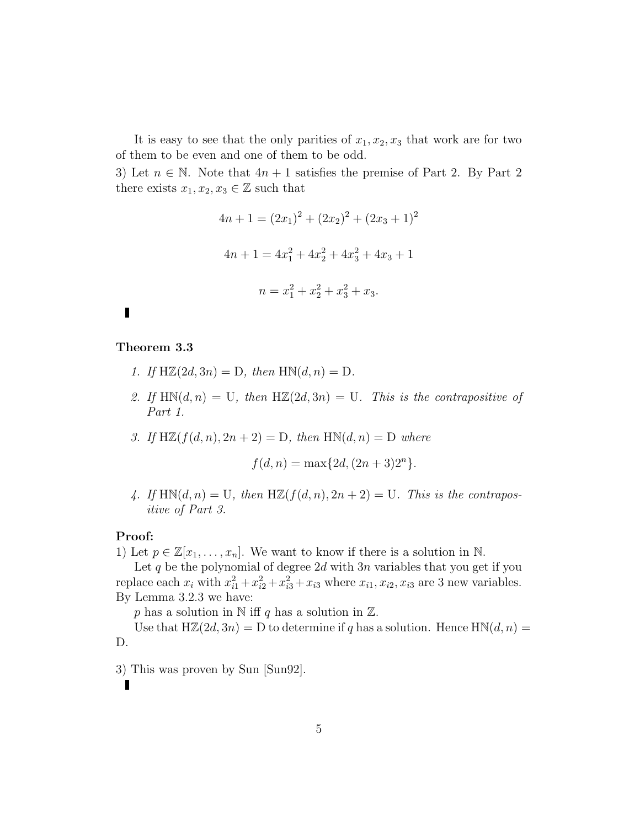It is easy to see that the only parities of  $x_1, x_2, x_3$  that work are for two of them to be even and one of them to be odd.

3) Let  $n \in \mathbb{N}$ . Note that  $4n+1$  satisfies the premise of Part 2. By Part 2. there exists  $x_1, x_2, x_3 \in \mathbb{Z}$  such that

$$
4n + 1 = (2x_1)^2 + (2x_2)^2 + (2x_3 + 1)^2
$$
  

$$
4n + 1 = 4x_1^2 + 4x_2^2 + 4x_3^2 + 4x_3 + 1
$$
  

$$
n = x_1^2 + x_2^2 + x_3^2 + x_3.
$$

### П

#### Theorem 3.3

- 1. If  $H\mathbb{Z}(2d,3n) = D$ , then  $H\mathbb{N}(d,n) = D$ .
- 2. If  $HM(d, n) = U$ , then  $H\mathbb{Z}(2d, 3n) = U$ . This is the contrapositive of Part 1.
- 3. If  $H\mathbb{Z}(f(d, n), 2n + 2) = D$ , then  $H\mathbb{N}(d, n) = D$  where

$$
f(d, n) = \max\{2d, (2n + 3)2^{n}\}.
$$

4. If  $HM(d, n) = U$ , then  $H\mathbb{Z}(f(d, n), 2n + 2) = U$ . This is the contrapositive of Part 3.

#### Proof:

 $\blacksquare$ 

1) Let  $p \in \mathbb{Z}[x_1, \ldots, x_n]$ . We want to know if there is a solution in N.

Let  $q$  be the polynomial of degree  $2d$  with  $3n$  variables that you get if you replace each  $x_i$  with  $x_{i1}^2 + x_{i2}^2 + x_{i3}^2 + x_{i3}$  where  $x_{i1}, x_{i2}, x_{i3}$  are 3 new variables. By Lemma 3.2.3 we have:

p has a solution in  $\mathbb N$  iff q has a solution in  $\mathbb Z$ .

Use that  $H\mathbb{Z}(2d, 3n) = D$  to determine if q has a solution. Hence  $H\mathbb{N}(d, n) =$ D.

3) This was proven by Sun [Sun92].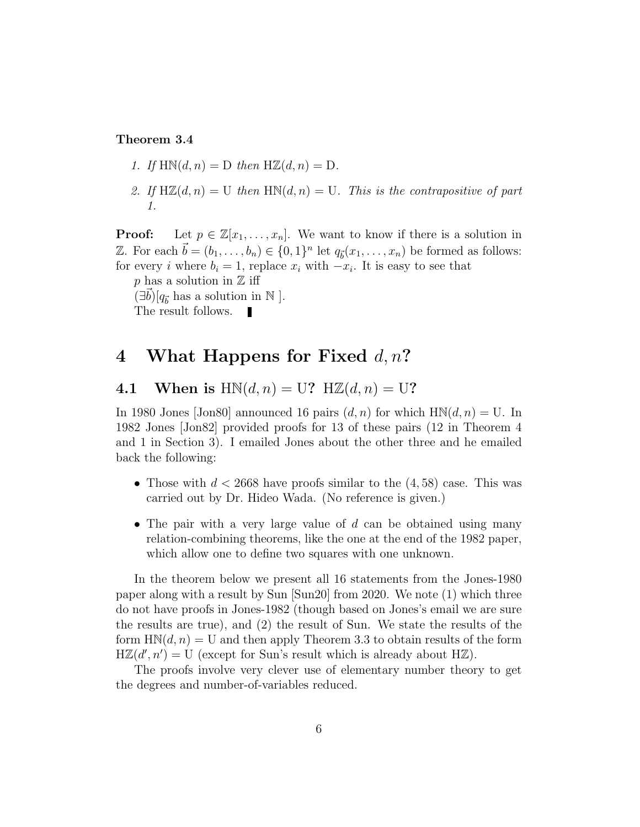#### Theorem 3.4

- 1. If  $H\mathbb{N}(d,n) = D$  then  $H\mathbb{Z}(d,n) = D$ .
- 2. If  $H\mathbb{Z}(d,n) = U$  then  $H\mathbb{N}(d,n) = U$ . This is the contrapositive of part 1.

**Proof:** Let  $p \in \mathbb{Z}[x_1,\ldots,x_n]$ . We want to know if there is a solution in Z. For each  $\vec{b} = (b_1, \ldots, b_n) \in \{0, 1\}^n$  let  $q_{\vec{b}}(x_1, \ldots, x_n)$  be formed as follows: for every *i* where  $b_i = 1$ , replace  $x_i$  with  $-x_i$ . It is easy to see that

p has a solution in  $\mathbb Z$  iff  $(\exists \vec{b})[q_{\vec{b}}]$  has a solution in N ].

The result follows.

### 4 What Happens for Fixed  $d, n$ ?

4.1 When is  $HM(d, n) = U?$  H $\mathbb{Z}(d, n) = U?$ 

In 1980 Jones [Jon80] announced 16 pairs  $(d, n)$  for which  $HM(d, n) = U$ . In 1982 Jones [Jon82] provided proofs for 13 of these pairs (12 in Theorem 4 and 1 in Section 3). I emailed Jones about the other three and he emailed back the following:

- Those with  $d < 2668$  have proofs similar to the  $(4, 58)$  case. This was carried out by Dr. Hideo Wada. (No reference is given.)
- The pair with a very large value of  $d$  can be obtained using many relation-combining theorems, like the one at the end of the 1982 paper, which allow one to define two squares with one unknown.

In the theorem below we present all 16 statements from the Jones-1980 paper along with a result by Sun [Sun20] from 2020. We note (1) which three do not have proofs in Jones-1982 (though based on Jones's email we are sure the results are true), and (2) the result of Sun. We state the results of the form  $H\mathbb{N}(d,n) = U$  and then apply Theorem 3.3 to obtain results of the form  $H\mathbb{Z}(d', n') = U$  (except for Sun's result which is already about HZ).

The proofs involve very clever use of elementary number theory to get the degrees and number-of-variables reduced.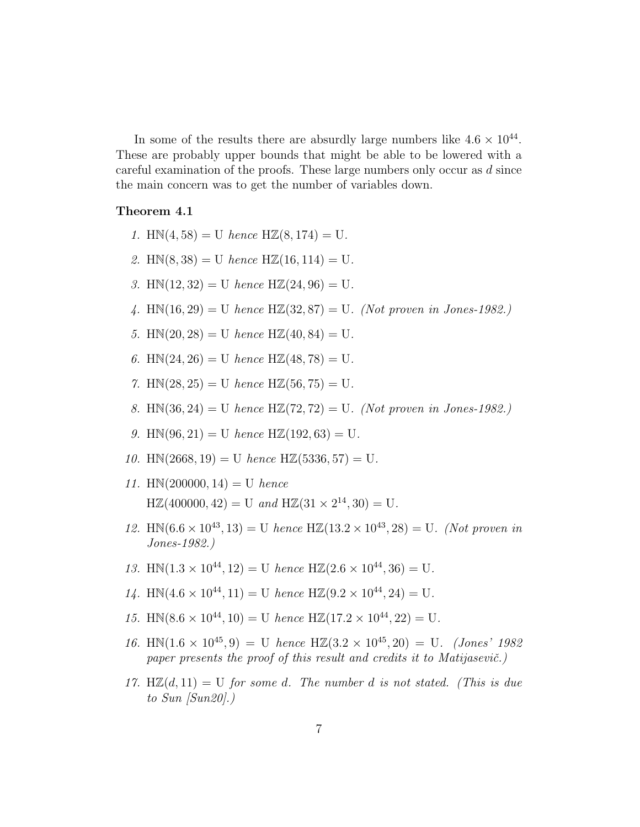In some of the results there are absurdly large numbers like  $4.6 \times 10^{44}$ . These are probably upper bounds that might be able to be lowered with a careful examination of the proofs. These large numbers only occur as d since the main concern was to get the number of variables down.

#### Theorem 4.1

- 1. HN $(4, 58) = U$  hence HZ $(8, 174) = U$ .
- 2. HN(8,38) = U hence HZ(16, 114) = U.
- 3. HN $(12, 32) = U$  hence HZ $(24, 96) = U$ .
- 4. HN $(16, 29) = U$  hence HZ $(32, 87) = U$ . (Not proven in Jones-1982.)
- 5. HN $(20, 28) = U$  hence HZ $(40, 84) = U$ .
- 6. HN $(24, 26) = U$  hence HZ $(48, 78) = U$ .
- 7. HN $(28, 25) = U$  hence HZ $(56, 75) = U$ .
- 8. HN(36, 24) = U hence HZ(72, 72) = U. (Not proven in Jones-1982.)
- 9. HN $(96, 21) = U$  hence HZ $(192, 63) = U$ .
- 10. HN $(2668, 19) = U$  hence HZ $(5336, 57) = U$ .
- 11. HN $(200000, 14) = U$  hence  $H\mathbb{Z}(400000, 42) = U$  and  $H\mathbb{Z}(31 \times 2^{14}, 30) = U$ .
- 12. HN $(6.6 \times 10^{43}, 13) = U$  hence HZ $(13.2 \times 10^{43}, 28) = U$ . (Not proven in Jones-1982.)
- 13. HN $(1.3 \times 10^{44}, 12) = U$  hence HZ $(2.6 \times 10^{44}, 36) = U$ .
- 14. HN $(4.6 \times 10^{44}, 11) = U$  hence HZ $(9.2 \times 10^{44}, 24) = U$ .
- 15. HN $(8.6 \times 10^{44}, 10) = U$  hence HZ $(17.2 \times 10^{44}, 22) = U$ .
- 16. HN $(1.6 \times 10^{45}, 9) = U$  hence HZ $(3.2 \times 10^{45}, 20) = U$ . (Jones' 1982) paper presents the proof of this result and credits it to Matijasevič.)
- 17. H $\mathbb{Z}(d, 11) = U$  for some d. The number d is not stated. (This is due to Sun  $|Sun20|$ .)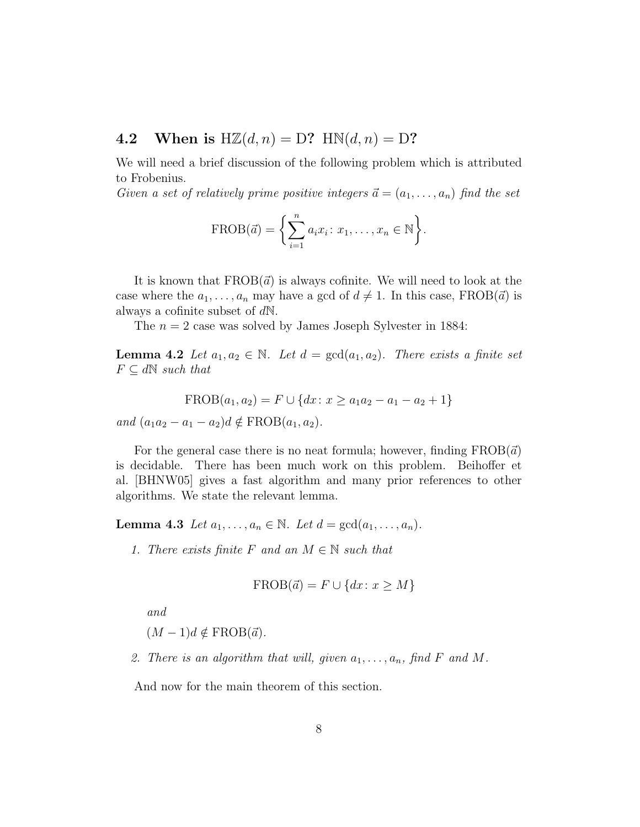### 4.2 When is  $H\mathbb{Z}(d,n) = D?$  HN $(d,n) = D?$

We will need a brief discussion of the following problem which is attributed to Frobenius.

Given a set of relatively prime positive integers  $\vec{a} = (a_1, \ldots, a_n)$  find the set

$$
\text{FROB}(\vec{a}) = \left\{ \sum_{i=1}^{n} a_i x_i : x_1, \dots, x_n \in \mathbb{N} \right\}.
$$

It is known that  $FROB(\vec{a})$  is always cofinite. We will need to look at the case where the  $a_1, \ldots, a_n$  may have a gcd of  $d \neq 1$ . In this case, FROB( $\vec{a}$ ) is always a cofinite subset of dN.

The  $n = 2$  case was solved by James Joseph Sylvester in 1884:

**Lemma 4.2** Let  $a_1, a_2 \in \mathbb{N}$ . Let  $d = \gcd(a_1, a_2)$ . There exists a finite set  $F \subseteq d\mathbb{N}$  such that

$$
FROB(a_1, a_2) = F \cup \{dx : x \ge a_1 a_2 - a_1 - a_2 + 1\}
$$

and  $(a_1a_2 - a_1 - a_2)d \notin FROB(a_1, a_2)$ .

For the general case there is no neat formula; however, finding  $FROB(\vec{a})$ is decidable. There has been much work on this problem. Beihoffer et al. [BHNW05] gives a fast algorithm and many prior references to other algorithms. We state the relevant lemma.

Lemma 4.3 Let  $a_1, \ldots, a_n \in \mathbb{N}$ . Let  $d = \gcd(a_1, \ldots, a_n)$ .

1. There exists finite F and an  $M \in \mathbb{N}$  such that

$$
\operatorname{FROB}(\vec{a}) = F \cup \{dx \colon x \geq M\}
$$

and

$$
(M-1)d \notin \text{FROB}(\vec{a}).
$$

2. There is an algorithm that will, given  $a_1, \ldots, a_n$ , find F and M.

And now for the main theorem of this section.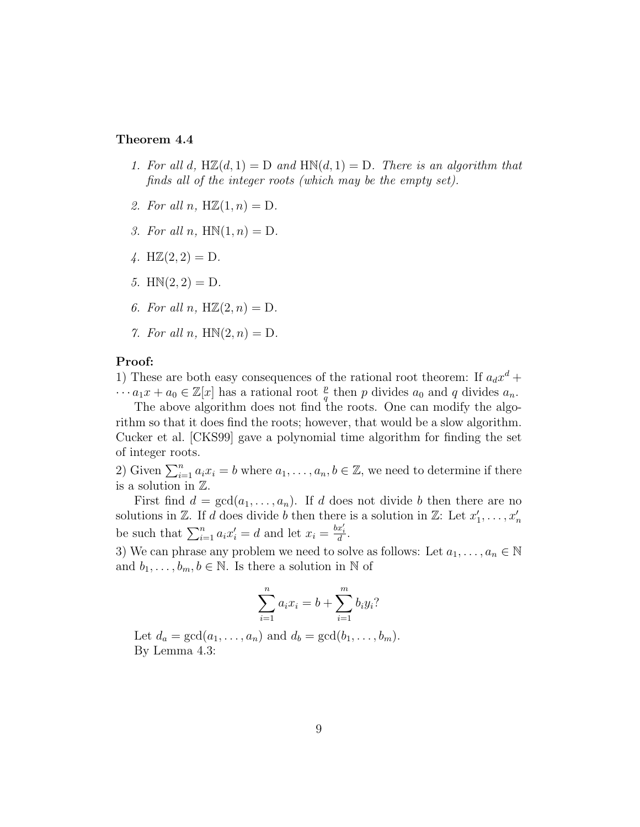#### Theorem 4.4

- 1. For all d,  $H\mathbb{Z}(d, 1) = D$  and  $H\mathbb{N}(d, 1) = D$ . There is an algorithm that finds all of the integer roots (which may be the empty set).
- 2. For all n,  $H\mathbb{Z}(1,n) = D$ .
- 3. For all n,  $HM(1, n) = D$ .
- 4.  $H\mathbb{Z}(2, 2) = D$ .
- 5.  $HM(2, 2) = D$ .
- 6. For all n,  $H\mathbb{Z}(2,n) = D$ .
- 7. For all n,  $HM(2, n) = D$ .

### Proof:

1) These are both easy consequences of the rational root theorem: If  $a_d x^d$  +  $\cdots a_1x + a_0 \in \mathbb{Z}[x]$  has a rational root  $\frac{p}{q}$  then p divides  $a_0$  and q divides  $a_n$ .

The above algorithm does not find the roots. One can modify the algorithm so that it does find the roots; however, that would be a slow algorithm. Cucker et al. [CKS99] gave a polynomial time algorithm for finding the set of integer roots.

2) Given  $\sum_{i=1}^{n} a_i x_i = b$  where  $a_1, \ldots, a_n, b \in \mathbb{Z}$ , we need to determine if there is a solution in Z.

First find  $d = \gcd(a_1, \ldots, a_n)$ . If d does not divide b then there are no solutions in  $\mathbb{Z}$ . If d does divide b then there is a solution in  $\mathbb{Z}$ : Let  $x'_1, \ldots, x'_n$ be such that  $\sum_{i=1}^{n} a_i x'_i = d$  and let  $x_i = \frac{bx'_i}{d}$ .

3) We can phrase any problem we need to solve as follows: Let  $a_1, \ldots, a_n \in \mathbb{N}$ and  $b_1, \ldots, b_m, b \in \mathbb{N}$ . Is there a solution in  $\mathbb N$  of

$$
\sum_{i=1}^{n} a_i x_i = b + \sum_{i=1}^{m} b_i y_i?
$$

Let  $d_a = \gcd(a_1, \ldots, a_n)$  and  $d_b = \gcd(b_1, \ldots, b_m)$ . By Lemma 4.3: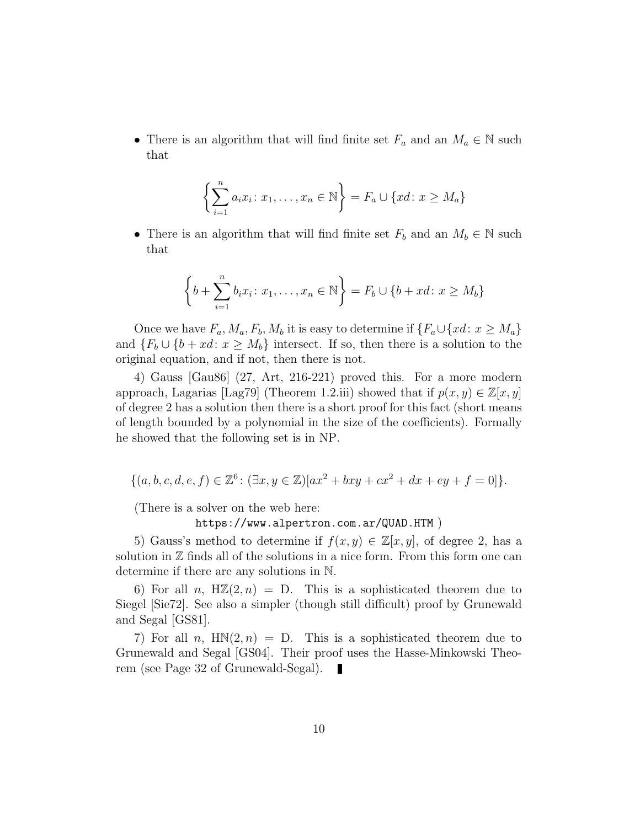• There is an algorithm that will find finite set  $F_a$  and an  $M_a \in \mathbb{N}$  such that

$$
\left\{\sum_{i=1}^{n} a_i x_i : x_1, \dots, x_n \in \mathbb{N}\right\} = F_a \cup \{xd : x \ge M_a\}
$$

• There is an algorithm that will find finite set  $F_b$  and an  $M_b \in \mathbb{N}$  such that

$$
\left\{ b + \sum_{i=1}^{n} b_i x_i : x_1, \dots, x_n \in \mathbb{N} \right\} = F_b \cup \{ b + xd : x \ge M_b \}
$$

Once we have  $F_a, M_a, F_b, M_b$  it is easy to determine if  $\{F_a \cup \{xd : x \geq M_a\}$ and  ${F_b \cup \{b + xd \colon x \geq M_b\}}$  intersect. If so, then there is a solution to the original equation, and if not, then there is not.

4) Gauss [Gau86] (27, Art, 216-221) proved this. For a more modern approach, Lagarias [Lag79] (Theorem 1.2.iii) showed that if  $p(x, y) \in \mathbb{Z}[x, y]$ of degree 2 has a solution then there is a short proof for this fact (short means of length bounded by a polynomial in the size of the coefficients). Formally he showed that the following set is in NP.

$$
\{(a, b, c, d, e, f) \in \mathbb{Z}^6 \colon (\exists x, y \in \mathbb{Z}) [ax^2 + bxy + cx^2 + dx + ey + f = 0] \}.
$$

(There is a solver on the web here:

#### https://www.alpertron.com.ar/QUAD.HTM )

5) Gauss's method to determine if  $f(x, y) \in \mathbb{Z}[x, y]$ , of degree 2, has a solution in  $\mathbb Z$  finds all of the solutions in a nice form. From this form one can determine if there are any solutions in N.

6) For all n,  $H\mathbb{Z}(2,n) = D$ . This is a sophisticated theorem due to Siegel [Sie72]. See also a simpler (though still difficult) proof by Grunewald and Segal [GS81].

7) For all n,  $HM(2, n) = D$ . This is a sophisticated theorem due to Grunewald and Segal [GS04]. Their proof uses the Hasse-Minkowski Theorem (see Page 32 of Grunewald-Segal). П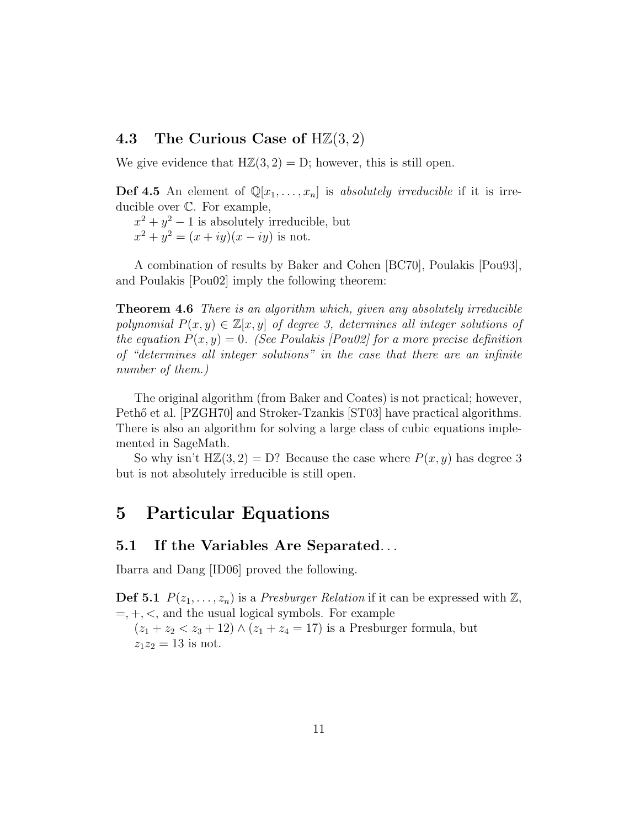### 4.3 The Curious Case of  $H\mathbb{Z}(3,2)$

We give evidence that  $H\mathbb{Z}(3,2) = D$ ; however, this is still open.

**Def 4.5** An element of  $\mathbb{Q}[x_1,\ldots,x_n]$  is absolutely irreducible if it is irreducible over C. For example,

 $x^2 + y^2 - 1$  is absolutely irreducible, but  $x^2 + y^2 = (x + iy)(x - iy)$  is not.

A combination of results by Baker and Cohen [BC70], Poulakis [Pou93], and Poulakis [Pou02] imply the following theorem:

**Theorem 4.6** There is an algorithm which, given any absolutely irreducible polynomial  $P(x, y) \in \mathbb{Z}[x, y]$  of degree 3, determines all integer solutions of the equation  $P(x, y) = 0$ . (See Poulakis [Pou02] for a more precise definition of "determines all integer solutions" in the case that there are an infinite number of them.)

The original algorithm (from Baker and Coates) is not practical; however, Pethő et al. [PZGH70] and Stroker-Tzankis [ST03] have practical algorithms. There is also an algorithm for solving a large class of cubic equations implemented in SageMath.

So why isn't  $H\mathbb{Z}(3,2) = D?$  Because the case where  $P(x, y)$  has degree 3 but is not absolutely irreducible is still open.

# 5 Particular Equations

### 5.1 If the Variables Are Separated. . .

Ibarra and Dang [ID06] proved the following.

**Def 5.1**  $P(z_1, \ldots, z_n)$  is a *Presburger Relation* if it can be expressed with  $\mathbb{Z}$ ,  $=, +, <$ , and the usual logical symbols. For example  $(z_1 + z_2 < z_3 + 12) \wedge (z_1 + z_4 = 17)$  is a Presburger formula, but

 $z_1z_2 = 13$  is not.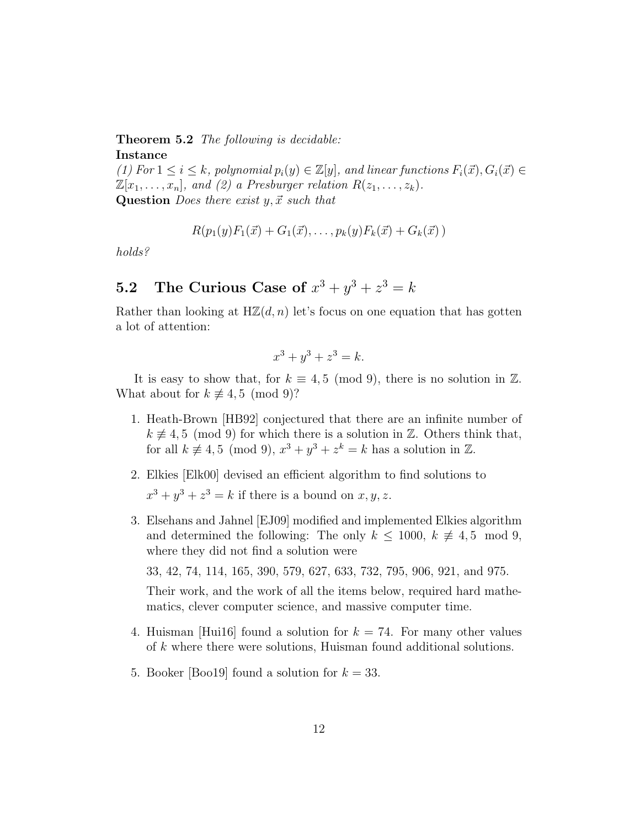### Theorem 5.2 The following is decidable: Instance

(1) For  $1 \leq i \leq k$ , polynomial  $p_i(y) \in \mathbb{Z}[y]$ , and linear functions  $F_i(\vec{x}), G_i(\vec{x}) \in$  $\mathbb{Z}[x_1, \ldots, x_n]$ , and (2) a Presburger relation  $R(z_1, \ldots, z_k)$ . Question *Does there exist y,*  $\vec{x}$  *such that* 

$$
R(p_1(y)F_1(\vec{x}) + G_1(\vec{x}), \ldots, p_k(y)F_k(\vec{x}) + G_k(\vec{x}))
$$

holds?

## **5.2** The Curious Case of  $x^3 + y^3 + z^3 = k$

Rather than looking at  $H\mathbb{Z}(d,n)$  let's focus on one equation that has gotten a lot of attention:

$$
x^3 + y^3 + z^3 = k.
$$

It is easy to show that, for  $k \equiv 4, 5 \pmod{9}$ , there is no solution in Z. What about for  $k \not\equiv 4, 5 \pmod{9}$ ?

- 1. Heath-Brown [HB92] conjectured that there are an infinite number of  $k \neq 4, 5 \pmod{9}$  for which there is a solution in Z. Others think that, for all  $k \neq 4, 5 \pmod{9}$ ,  $x^3 + y^3 + z^k = k$  has a solution in  $\mathbb{Z}$ .
- 2. Elkies [Elk00] devised an efficient algorithm to find solutions to  $x^3 + y^3 + z^3 = k$  if there is a bound on  $x, y, z$ .
- 3. Elsehans and Jahnel [EJ09] modified and implemented Elkies algorithm and determined the following: The only  $k \leq 1000, k \neq 4, 5 \mod 9$ , where they did not find a solution were

33, 42, 74, 114, 165, 390, 579, 627, 633, 732, 795, 906, 921, and 975.

Their work, and the work of all the items below, required hard mathematics, clever computer science, and massive computer time.

- 4. Huisman [Hui16] found a solution for  $k = 74$ . For many other values of k where there were solutions, Huisman found additional solutions.
- 5. Booker [Boo19] found a solution for  $k = 33$ .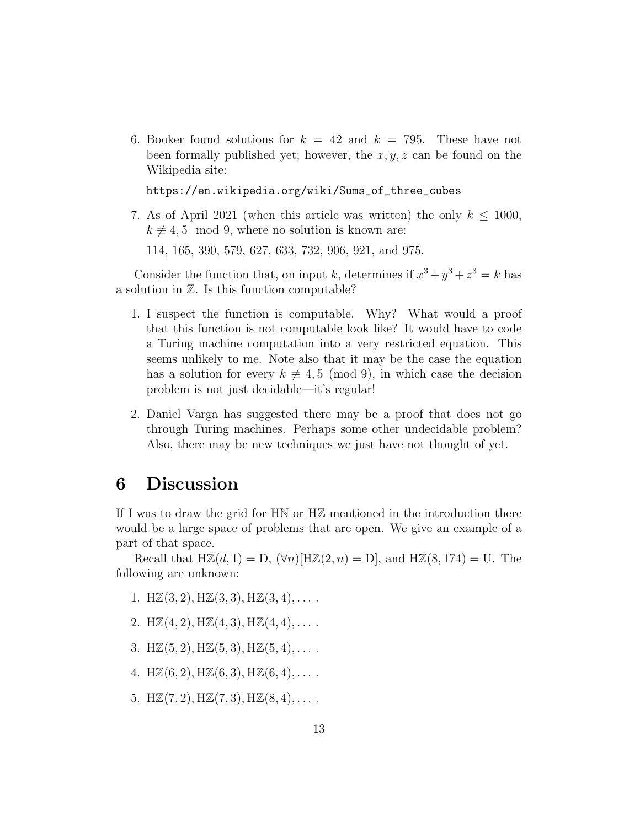6. Booker found solutions for  $k = 42$  and  $k = 795$ . These have not been formally published yet; however, the  $x, y, z$  can be found on the Wikipedia site:

https://en.wikipedia.org/wiki/Sums\_of\_three\_cubes

7. As of April 2021 (when this article was written) the only  $k \leq 1000$ ,  $k \neq 4, 5 \mod 9$ , where no solution is known are:

114, 165, 390, 579, 627, 633, 732, 906, 921, and 975.

Consider the function that, on input k, determines if  $x^3 + y^3 + z^3 = k$  has a solution in Z. Is this function computable?

- 1. I suspect the function is computable. Why? What would a proof that this function is not computable look like? It would have to code a Turing machine computation into a very restricted equation. This seems unlikely to me. Note also that it may be the case the equation has a solution for every  $k \not\equiv 4, 5 \pmod{9}$ , in which case the decision problem is not just decidable—it's regular!
- 2. Daniel Varga has suggested there may be a proof that does not go through Turing machines. Perhaps some other undecidable problem? Also, there may be new techniques we just have not thought of yet.

# 6 Discussion

If I was to draw the grid for HN or HZ mentioned in the introduction there would be a large space of problems that are open. We give an example of a part of that space.

Recall that  $H\mathbb{Z}(d, 1) = D$ ,  $(\forall n)[H\mathbb{Z}(2, n) = D]$ , and  $H\mathbb{Z}(8, 174) = U$ . The following are unknown:

- 1. H $\mathbb{Z}(3,2)$ , H $\mathbb{Z}(3,3)$ , H $\mathbb{Z}(3,4)$ , ...
- 2. H $\mathbb{Z}(4,2)$ , H $\mathbb{Z}(4,3)$ , H $\mathbb{Z}(4,4)$ , ...
- 3. H $\mathbb{Z}(5,2), \text{H}\mathbb{Z}(5,3), \text{H}\mathbb{Z}(5,4), \ldots$ .
- 4. H $\mathbb{Z}(6, 2)$ , H $\mathbb{Z}(6, 3)$ , H $\mathbb{Z}(6, 4)$ , ...
- 5. H $\mathbb{Z}(7,2)$ , H $\mathbb{Z}(7,3)$ , H $\mathbb{Z}(8,4)$ , ...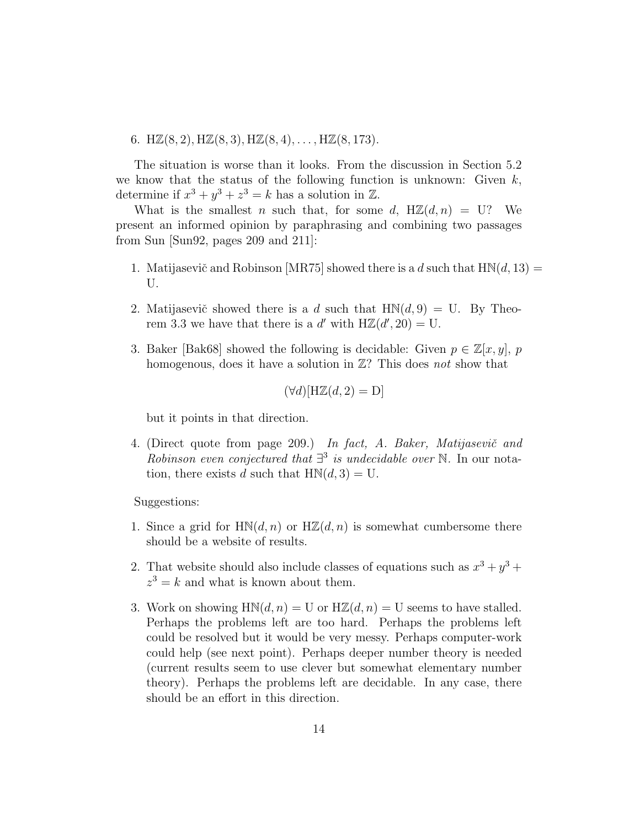6.  $H\mathbb{Z}(8,2), H\mathbb{Z}(8,3), H\mathbb{Z}(8,4), \ldots, H\mathbb{Z}(8,173).$ 

The situation is worse than it looks. From the discussion in Section 5.2 we know that the status of the following function is unknown: Given  $k$ , determine if  $x^3 + y^3 + z^3 = k$  has a solution in  $\mathbb{Z}$ .

What is the smallest n such that, for some d,  $H\mathbb{Z}(d,n) = U?$  We present an informed opinion by paraphrasing and combining two passages from Sun [Sun92, pages 209 and 211]:

- 1. Matijasevič and Robinson [MR75] showed there is a d such that  $H\mathbb{N}(d, 13) =$ U.
- 2. Matijasevič showed there is a d such that  $HN(d, 9) = U$ . By Theorem 3.3 we have that there is a d' with  $H\mathbb{Z}(d', 20) = U$ .
- 3. Baker [Bak68] showed the following is decidable: Given  $p \in \mathbb{Z}[x, y]$ , p homogenous, does it have a solution in  $\mathbb{Z}$ ? This does not show that

$$
(\forall d)[\mathbf{H}\mathbb{Z}(d,2) = \mathbf{D}]
$$

but it points in that direction.

4. (Direct quote from page 209.) In fact, A. Baker, Matijasevič and Robinson even conjectured that  $\exists$ <sup>3</sup> is undecidable over N. In our notation, there exists d such that  $HM(d, 3) = U$ .

Suggestions:

- 1. Since a grid for  $HM(d, n)$  or  $H\mathbb{Z}(d, n)$  is somewhat cumbersome there should be a website of results.
- 2. That website should also include classes of equations such as  $x^3 + y^3 +$  $z^3 = k$  and what is known about them.
- 3. Work on showing  $HM(d, n) = U$  or  $H\mathbb{Z}(d, n) = U$  seems to have stalled. Perhaps the problems left are too hard. Perhaps the problems left could be resolved but it would be very messy. Perhaps computer-work could help (see next point). Perhaps deeper number theory is needed (current results seem to use clever but somewhat elementary number theory). Perhaps the problems left are decidable. In any case, there should be an effort in this direction.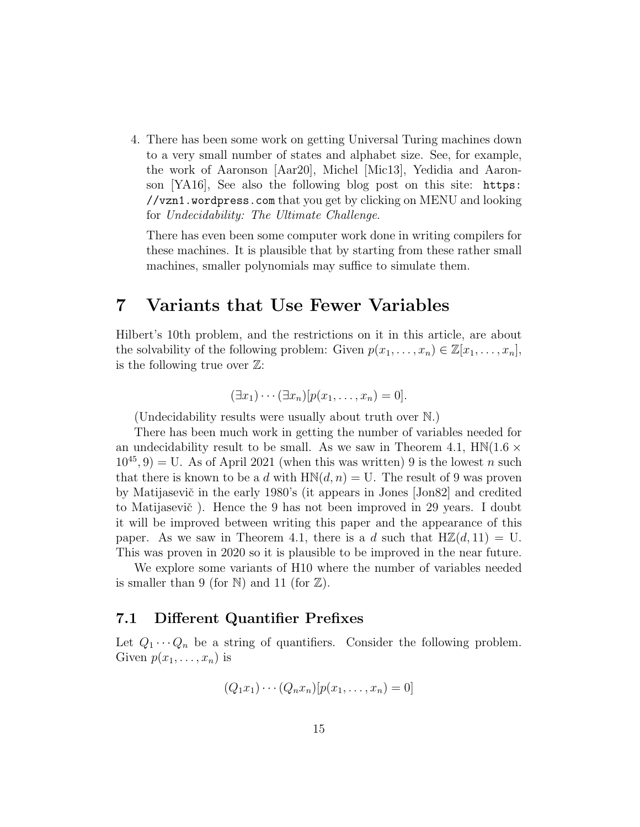4. There has been some work on getting Universal Turing machines down to a very small number of states and alphabet size. See, for example, the work of Aaronson [Aar20], Michel [Mic13], Yedidia and Aaronson [YA16], See also the following blog post on this site: https: //vzn1.wordpress.com that you get by clicking on MENU and looking for Undecidability: The Ultimate Challenge.

There has even been some computer work done in writing compilers for these machines. It is plausible that by starting from these rather small machines, smaller polynomials may suffice to simulate them.

## 7 Variants that Use Fewer Variables

Hilbert's 10th problem, and the restrictions on it in this article, are about the solvability of the following problem: Given  $p(x_1, \ldots, x_n) \in \mathbb{Z}[x_1, \ldots, x_n]$ , is the following true over  $\mathbb{Z}$ :

$$
(\exists x_1)\cdots(\exists x_n)[p(x_1,\ldots,x_n)=0].
$$

(Undecidability results were usually about truth over N.)

There has been much work in getting the number of variables needed for an undecidability result to be small. As we saw in Theorem 4.1,  $HM(1.6 \times$  $10^{45}$ , 9) = U. As of April 2021 (when this was written) 9 is the lowest n such that there is known to be a d with  $HM(d, n) = U$ . The result of 9 was proven by Matijasevič in the early 1980's (it appears in Jones [Jon82] and credited to Matijasevič). Hence the 9 has not been improved in 29 years. I doubt it will be improved between writing this paper and the appearance of this paper. As we saw in Theorem 4.1, there is a d such that  $H\mathbb{Z}(d, 11) = U$ . This was proven in 2020 so it is plausible to be improved in the near future.

We explore some variants of H10 where the number of variables needed is smaller than 9 (for N) and 11 (for  $\mathbb{Z}$ ).

### 7.1 Different Quantifier Prefixes

Let  $Q_1 \cdots Q_n$  be a string of quantifiers. Consider the following problem. Given  $p(x_1, \ldots, x_n)$  is

$$
(Q_1x_1)\cdots(Q_nx_n)[p(x_1,\ldots,x_n)=0]
$$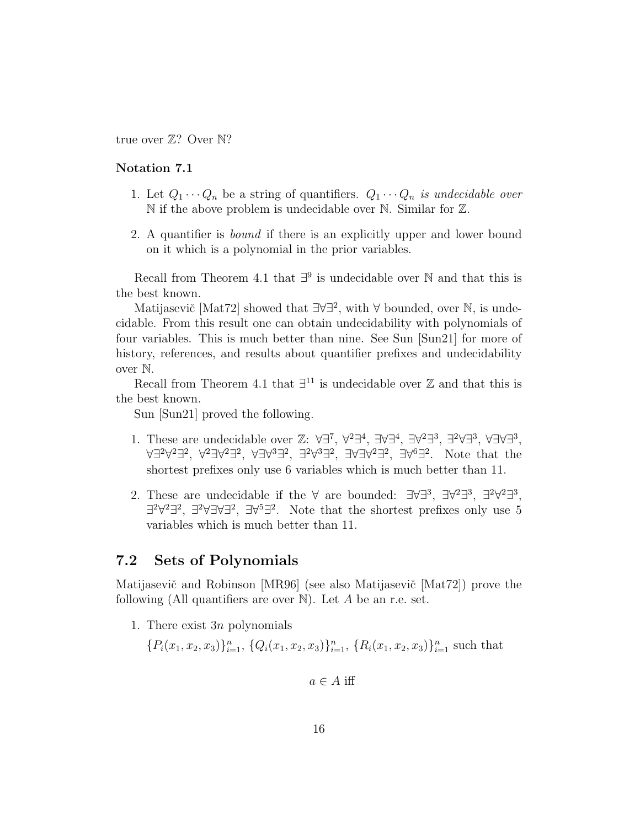true over  $\mathbb{Z}$ ? Over  $\mathbb{N}$ ?

#### Notation 7.1

- 1. Let  $Q_1 \cdots Q_n$  be a string of quantifiers.  $Q_1 \cdots Q_n$  is undecidable over N if the above problem is undecidable over N. Similar for Z.
- 2. A quantifier is bound if there is an explicitly upper and lower bound on it which is a polynomial in the prior variables.

Recall from Theorem 4.1 that  $\exists^9$  is undecidable over N and that this is the best known.

Matijasevič [Mat72] showed that  $\exists \forall \exists^2$ , with  $\forall$  bounded, over N, is undecidable. From this result one can obtain undecidability with polynomials of four variables. This is much better than nine. See Sun [Sun21] for more of history, references, and results about quantifier prefixes and undecidability over N.

Recall from Theorem 4.1 that  $\exists$ <sup>11</sup> is undecidable over  $\mathbb Z$  and that this is the best known.

Sun [Sun21] proved the following.

- 1. These are undecidable over  $\mathbb{Z}$ : ∀∃<sup>7</sup>, ∀<sup>2</sup>∃<sup>4</sup>, ∃∀∃<sup>4</sup>, ∃∀<sup>2</sup>∃<sup>3</sup>, ∃<sup>2</sup>∀∃<sup>3</sup>, ∀∃∀∃<sup>3</sup>, ∀∃<sup>2</sup>∀<sup>2</sup>∃?, ∀∃∀<sup>3</sup>∃?, ∃<sup>2</sup>∀3∃?, ∃∀∃∀<sup>2</sup>∃?, ∃∀<sup>6</sup>∃?. Note that the shortest prefixes only use 6 variables which is much better than 11.
- 2. These are undecidable if the  $\forall$  are bounded:  $\exists \forall \exists^3, \exists \forall^2 \exists^3, \exists^2 \forall^2 \exists^3,$  $\exists^{2}\forall^{2}\exists^{2}, \exists^{2}\forall\exists^{2}\exists^{2}$ . Note that the shortest prefixes only use 5 variables which is much better than 11.

### 7.2 Sets of Polynomials

Matijasevič and Robinson [MR96] (see also Matijasevič [Mat72]) prove the following (All quantifiers are over  $\mathbb N$ ). Let A be an r.e. set.

1. There exist  $3n$  polynomials

$$
\{P_i(x_1, x_2, x_3)\}_{i=1}^n, \{Q_i(x_1, x_2, x_3)\}_{i=1}^n, \{R_i(x_1, x_2, x_3)\}_{i=1}^n
$$
 such that

 $a \in A$  iff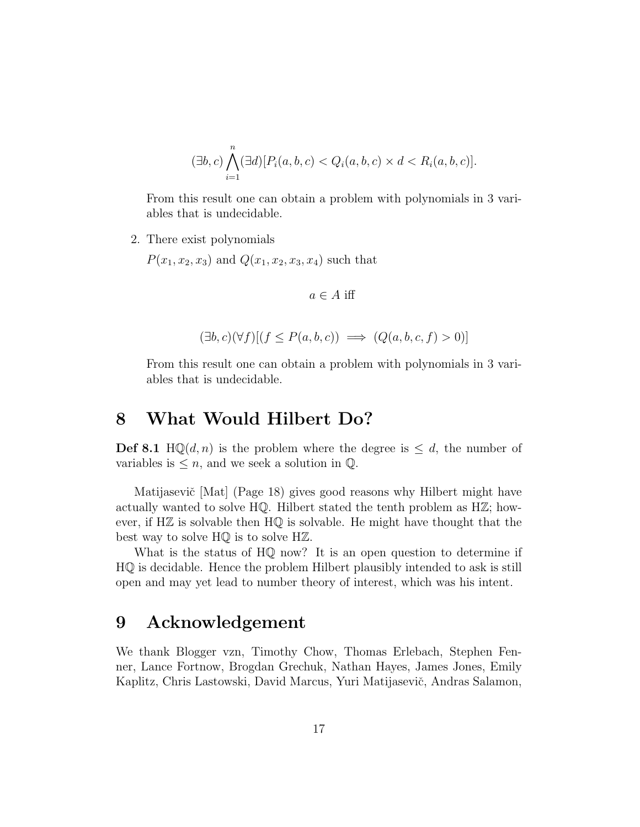$$
(\exists b, c) \bigwedge_{i=1}^{n} (\exists d) [P_i(a, b, c) < Q_i(a, b, c) \times d < R_i(a, b, c)].
$$

From this result one can obtain a problem with polynomials in 3 variables that is undecidable.

2. There exist polynomials

 $P(x_1, x_2, x_3)$  and  $Q(x_1, x_2, x_3, x_4)$  such that

$$
a \in A
$$
 iff

$$
(\exists b, c)(\forall f)[(f \le P(a, b, c)) \implies (Q(a, b, c, f) > 0)]
$$

From this result one can obtain a problem with polynomials in 3 variables that is undecidable.

### 8 What Would Hilbert Do?

**Def 8.1** HQ(d, n) is the problem where the degree is  $\leq d$ , the number of variables is  $\leq n$ , and we seek a solution in  $\mathbb{Q}$ .

Matijasevič [Mat] (Page 18) gives good reasons why Hilbert might have actually wanted to solve  $HQ$ . Hilbert stated the tenth problem as  $H\mathbb{Z}$ ; however, if  $H\mathbb{Z}$  is solvable then  $H\mathbb{Q}$  is solvable. He might have thought that the best way to solve HQ is to solve HZ.

What is the status of  $HQ$  now? It is an open question to determine if HQ is decidable. Hence the problem Hilbert plausibly intended to ask is still open and may yet lead to number theory of interest, which was his intent.

### 9 Acknowledgement

We thank Blogger vzn, Timothy Chow, Thomas Erlebach, Stephen Fenner, Lance Fortnow, Brogdan Grechuk, Nathan Hayes, James Jones, Emily Kaplitz, Chris Lastowski, David Marcus, Yuri Matijasevič, Andras Salamon,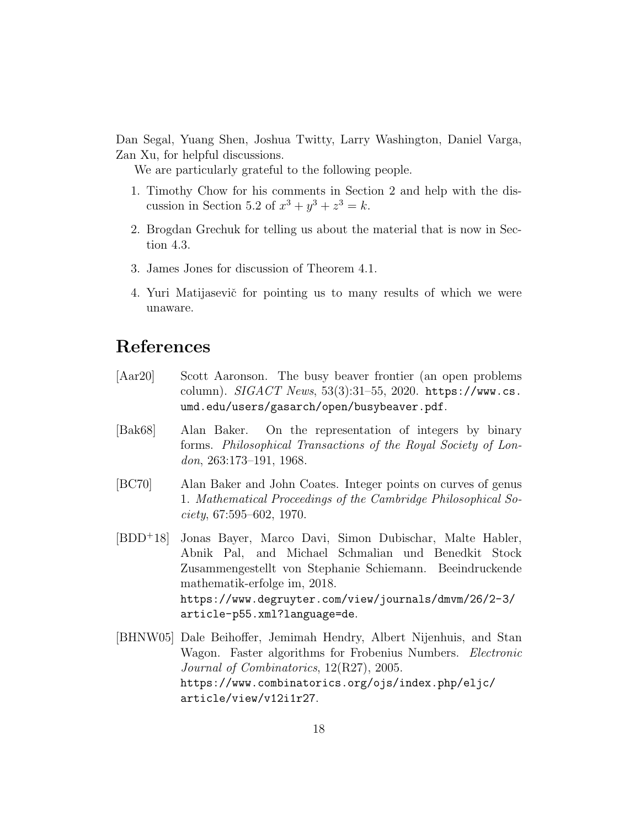Dan Segal, Yuang Shen, Joshua Twitty, Larry Washington, Daniel Varga, Zan Xu, for helpful discussions.

We are particularly grateful to the following people.

- 1. Timothy Chow for his comments in Section 2 and help with the discussion in Section 5.2 of  $x^3 + y^3 + z^3 = k$ .
- 2. Brogdan Grechuk for telling us about the material that is now in Section 4.3.
- 3. James Jones for discussion of Theorem 4.1.
- 4. Yuri Matijasevič for pointing us to many results of which we were unaware.

# References

- [Aar20] Scott Aaronson. The busy beaver frontier (an open problems column).  $SIGACT News$ ,  $53(3):31-55$ ,  $2020$ . https://www.cs. umd.edu/users/gasarch/open/busybeaver.pdf.
- [Bak68] Alan Baker. On the representation of integers by binary forms. Philosophical Transactions of the Royal Society of London, 263:173–191, 1968.
- [BC70] Alan Baker and John Coates. Integer points on curves of genus 1. Mathematical Proceedings of the Cambridge Philosophical So $ciety, 67:595-602, 1970.$
- [BDD<sup>+</sup>18] Jonas Bayer, Marco Davi, Simon Dubischar, Malte Habler, Abnik Pal, and Michael Schmalian und Benedkit Stock Zusammengestellt von Stephanie Schiemann. Beeindruckende mathematik-erfolge im, 2018. https://www.degruyter.com/view/journals/dmvm/26/2-3/ article-p55.xml?language=de.
- [BHNW05] Dale Beihoffer, Jemimah Hendry, Albert Nijenhuis, and Stan Wagon. Faster algorithms for Frobenius Numbers. *Electronic* Journal of Combinatorics, 12(R27), 2005. https://www.combinatorics.org/ojs/index.php/eljc/ article/view/v12i1r27.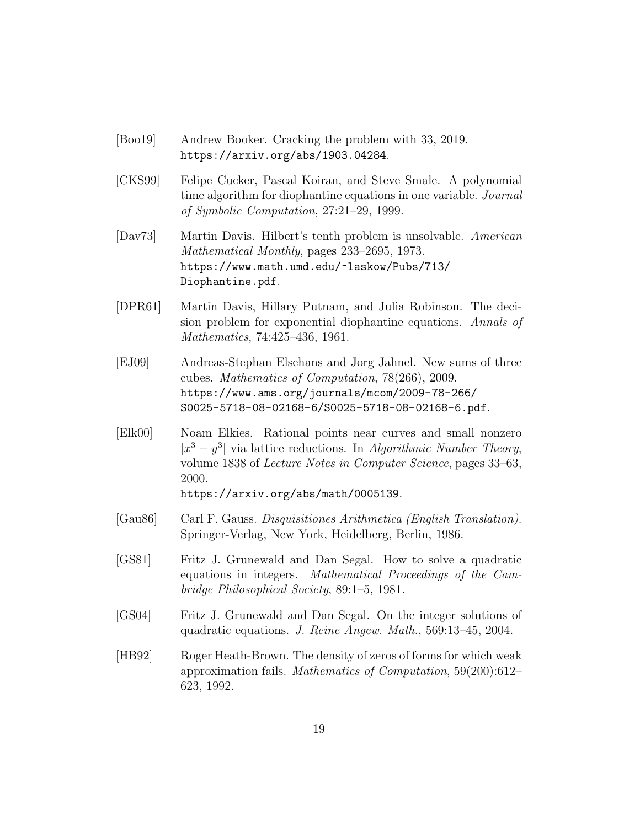- [Boo19] Andrew Booker. Cracking the problem with 33, 2019. https://arxiv.org/abs/1903.04284.
- [CKS99] Felipe Cucker, Pascal Koiran, and Steve Smale. A polynomial time algorithm for diophantine equations in one variable. *Journal* of Symbolic Computation, 27:21–29, 1999.
- [Dav73] Martin Davis. Hilbert's tenth problem is unsolvable. American Mathematical Monthly, pages 233–2695, 1973. https://www.math.umd.edu/~laskow/Pubs/713/ Diophantine.pdf.
- [DPR61] Martin Davis, Hillary Putnam, and Julia Robinson. The decision problem for exponential diophantine equations. Annals of Mathematics, 74:425–436, 1961.
- [EJ09] Andreas-Stephan Elsehans and Jorg Jahnel. New sums of three cubes. Mathematics of Computation, 78(266), 2009. https://www.ams.org/journals/mcom/2009-78-266/ S0025-5718-08-02168-6/S0025-5718-08-02168-6.pdf.
- [Elk00] Noam Elkies. Rational points near curves and small nonzero  $|x^3-y^3|$  via lattice reductions. In Algorithmic Number Theory, volume 1838 of Lecture Notes in Computer Science, pages 33–63, 2000.

https://arxiv.org/abs/math/0005139.

- [Gau86] Carl F. Gauss. Disquisitiones Arithmetica (English Translation). Springer-Verlag, New York, Heidelberg, Berlin, 1986.
- [GS81] Fritz J. Grunewald and Dan Segal. How to solve a quadratic equations in integers. Mathematical Proceedings of the Cambridge Philosophical Society, 89:1–5, 1981.
- [GS04] Fritz J. Grunewald and Dan Segal. On the integer solutions of quadratic equations. J. Reine Angew. Math., 569:13–45, 2004.
- [HB92] Roger Heath-Brown. The density of zeros of forms for which weak approximation fails. Mathematics of Computation, 59(200):612– 623, 1992.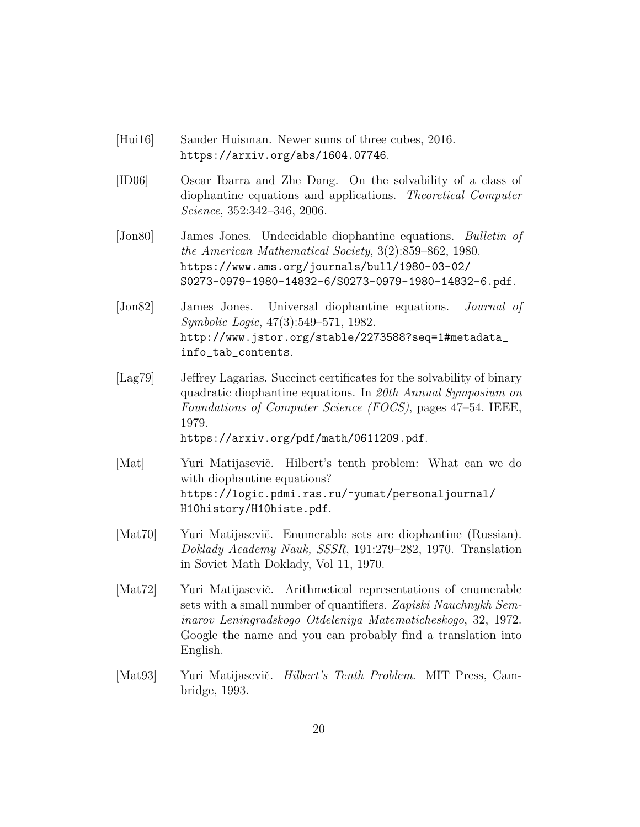- [Hui16] Sander Huisman. Newer sums of three cubes, 2016. https://arxiv.org/abs/1604.07746.
- [ID06] Oscar Ibarra and Zhe Dang. On the solvability of a class of diophantine equations and applications. Theoretical Computer Science, 352:342–346, 2006.
- [Jon80] James Jones. Undecidable diophantine equations. Bulletin of the American Mathematical Society, 3(2):859–862, 1980. https://www.ams.org/journals/bull/1980-03-02/ S0273-0979-1980-14832-6/S0273-0979-1980-14832-6.pdf.
- [Jon82] James Jones. Universal diophantine equations. Journal of Symbolic Logic, 47(3):549–571, 1982. http://www.jstor.org/stable/2273588?seq=1#metadata\_ info\_tab\_contents.
- [Lag79] Jeffrey Lagarias. Succinct certificates for the solvability of binary quadratic diophantine equations. In 20th Annual Symposium on Foundations of Computer Science (FOCS), pages 47–54. IEEE, 1979. https://arxiv.org/pdf/math/0611209.pdf.
- [Mat] Yuri Matijasevič. Hilbert's tenth problem: What can we do with diophantine equations? https://logic.pdmi.ras.ru/~yumat/personaljournal/ H10history/H10histe.pdf.
- [Mat70] Yuri Matijasevič. Enumerable sets are diophantine (Russian). Doklady Academy Nauk, SSSR, 191:279–282, 1970. Translation in Soviet Math Doklady, Vol 11, 1970.
- [Mat72] Yuri Matijasevič. Arithmetical representations of enumerable sets with a small number of quantifiers. Zapiski Nauchnykh Seminarov Leningradskogo Otdeleniya Matematicheskogo, 32, 1972. Google the name and you can probably find a translation into English.
- [Mat93] Yuri Matijasevič. *Hilbert's Tenth Problem.* MIT Press, Cambridge, 1993.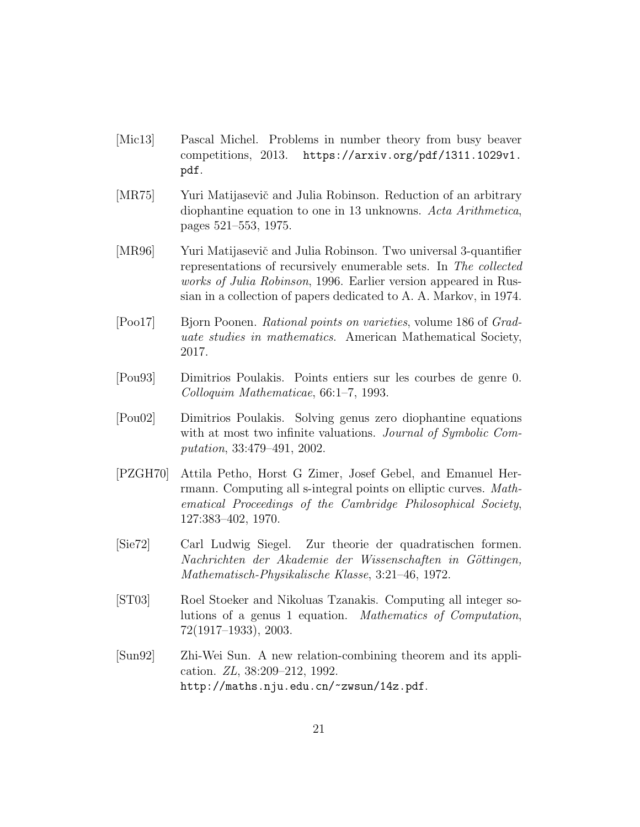- [Mic13] Pascal Michel. Problems in number theory from busy beaver competitions, 2013. https://arxiv.org/pdf/1311.1029v1. pdf.
- [MR75] Yuri Matijasevič and Julia Robinson. Reduction of an arbitrary diophantine equation to one in 13 unknowns. Acta Arithmetica, pages 521–553, 1975.
- [MR96] Yuri Matijasevič and Julia Robinson. Two universal 3-quantifier representations of recursively enumerable sets. In The collected works of Julia Robinson, 1996. Earlier version appeared in Russian in a collection of papers dedicated to A. A. Markov, in 1974.
- [Poo17] Bjorn Poonen. Rational points on varieties, volume 186 of Graduate studies in mathematics. American Mathematical Society, 2017.
- [Pou93] Dimitrios Poulakis. Points entiers sur les courbes de genre 0. Colloquim Mathematicae, 66:1–7, 1993.
- [Pou02] Dimitrios Poulakis. Solving genus zero diophantine equations with at most two infinite valuations. *Journal of Symbolic Com*putation, 33:479–491, 2002.
- [PZGH70] Attila Petho, Horst G Zimer, Josef Gebel, and Emanuel Herrmann. Computing all s-integral points on elliptic curves. Mathematical Proceedings of the Cambridge Philosophical Society, 127:383–402, 1970.
- [Sie72] Carl Ludwig Siegel. Zur theorie der quadratischen formen. Nachrichten der Akademie der Wissenschaften in Göttingen, Mathematisch-Physikalische Klasse, 3:21–46, 1972.
- [ST03] Roel Stoeker and Nikoluas Tzanakis. Computing all integer solutions of a genus 1 equation. Mathematics of Computation, 72(1917–1933), 2003.
- [Sun92] Zhi-Wei Sun. A new relation-combining theorem and its application. ZL, 38:209–212, 1992. http://maths.nju.edu.cn/~zwsun/14z.pdf.